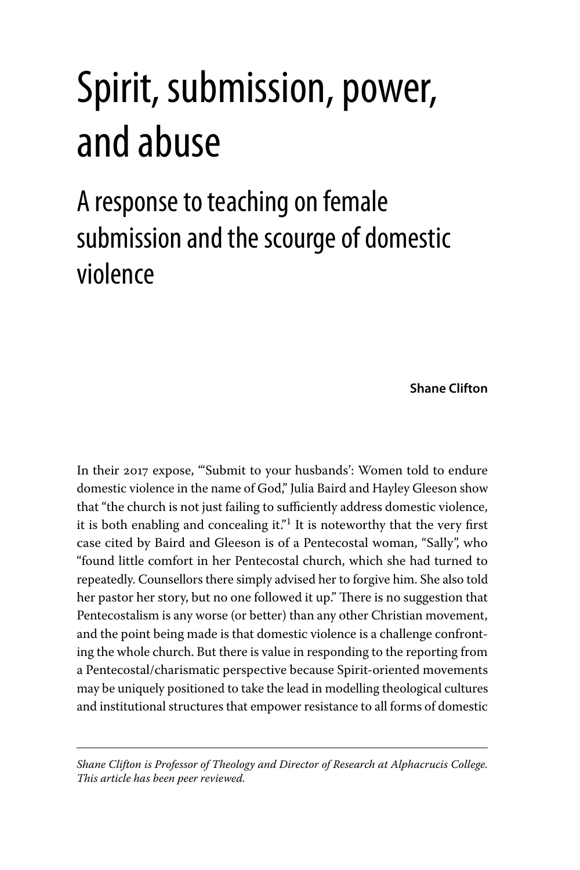# Spirit, submission, power, and abuse

# A response to teaching on female submission and the scourge of domestic violence

**Shane Clifton**

In their 2017 expose, "'Submit to your husbands': Women told to endure domestic violence in the name of God," Julia Baird and Hayley Gleeson show that "the church is not just failing to sufficiently address domestic violence, it is both enabling and concealing it." $\frac{1}{1}$  It is noteworthy that the very first case cited by Baird and Gleeson is of a Pentecostal woman, "Sally", who "found little comfort in her Pentecostal church, which she had turned to repeatedly. Counsellors there simply advised her to forgive him. She also told her pastor her story, but no one followed it up." There is no suggestion that Pentecostalism is any worse (or better) than any other Christian movement, and the point being made is that domestic violence is a challenge confronting the whole church. But there is value in responding to the reporting from a Pentecostal/charismatic perspective because Spirit-oriented movements may be uniquely positioned to take the lead in modelling theological cultures and institutional structures that empower resistance to all forms of domestic

*Shane Clifton is Professor of Theology and Director of Research at Alphacrucis College. This article has been peer reviewed.*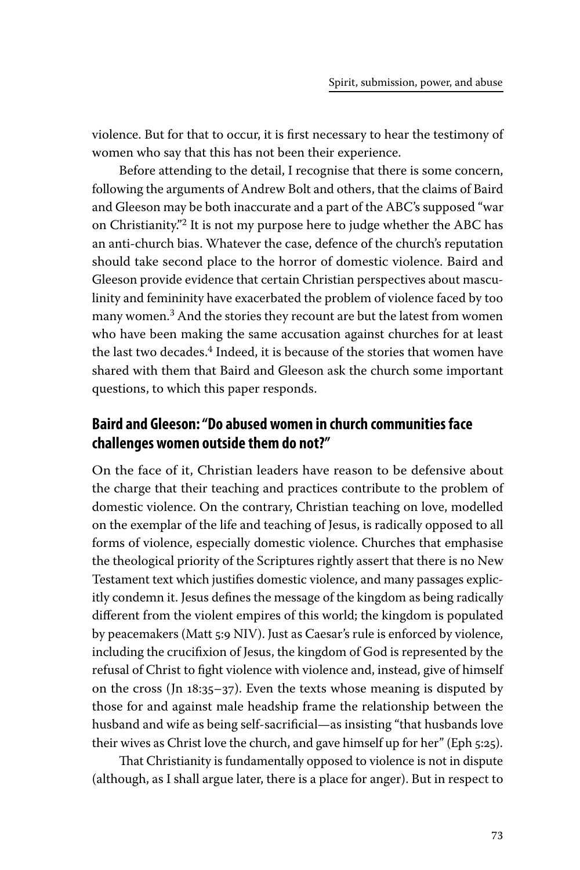violence. But for that to occur, it is first necessary to hear the testimony of women who say that this has not been their experience.

Before attending to the detail, I recognise that there is some concern, following the arguments of Andrew Bolt and others, that the claims of Baird and Gleeson may be both inaccurate and a part of the ABC's supposed "war on Christianity."2 It is not my purpose here to judge whether the ABC has an anti-church bias. Whatever the case, defence of the church's reputation should take second place to the horror of domestic violence. Baird and Gleeson provide evidence that certain Christian perspectives about masculinity and femininity have exacerbated the problem of violence faced by too many women.<sup>3</sup> And the stories they recount are but the latest from women who have been making the same accusation against churches for at least the last two decades. $4$  Indeed, it is because of the stories that women have shared with them that Baird and Gleeson ask the church some important questions, to which this paper responds.

## **Baird and Gleeson: "Do abused women in church communities face challenges women outside them do not?"**

On the face of it, Christian leaders have reason to be defensive about the charge that their teaching and practices contribute to the problem of domestic violence. On the contrary, Christian teaching on love, modelled on the exemplar of the life and teaching of Jesus, is radically opposed to all forms of violence, especially domestic violence. Churches that emphasise the theological priority of the Scriptures rightly assert that there is no New Testament text which justifies domestic violence, and many passages explicitly condemn it. Jesus defines the message of the kingdom as being radically different from the violent empires of this world; the kingdom is populated by peacemakers (Matt 5:9 NIV). Just as Caesar's rule is enforced by violence, including the crucifixion of Jesus, the kingdom of God is represented by the refusal of Christ to fight violence with violence and, instead, give of himself on the cross (Jn 18:35–37). Even the texts whose meaning is disputed by those for and against male headship frame the relationship between the husband and wife as being self-sacrificial—as insisting "that husbands love their wives as Christ love the church, and gave himself up for her" (Eph 5:25).

That Christianity is fundamentally opposed to violence is not in dispute (although, as I shall argue later, there is a place for anger). But in respect to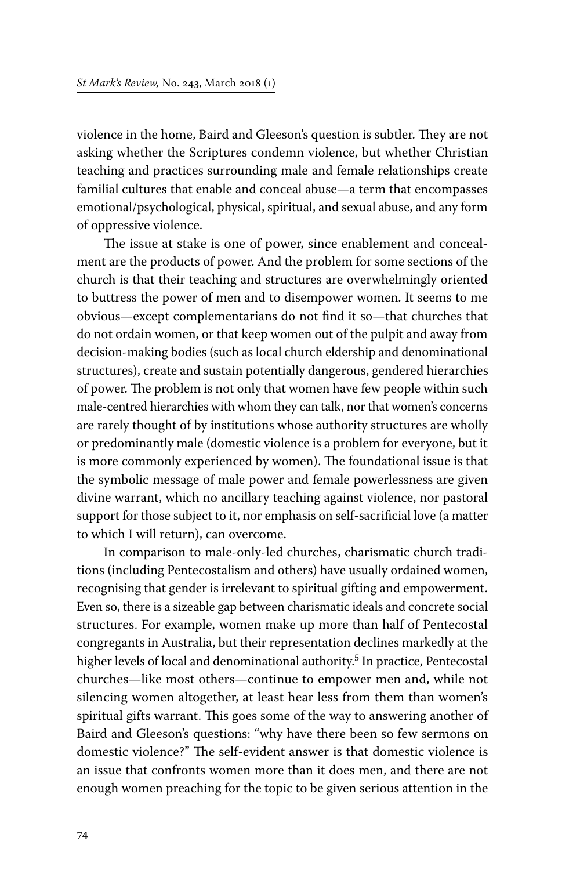violence in the home, Baird and Gleeson's question is subtler. They are not asking whether the Scriptures condemn violence, but whether Christian teaching and practices surrounding male and female relationships create familial cultures that enable and conceal abuse—a term that encompasses emotional/psychological, physical, spiritual, and sexual abuse, and any form of oppressive violence.

The issue at stake is one of power, since enablement and concealment are the products of power. And the problem for some sections of the church is that their teaching and structures are overwhelmingly oriented to buttress the power of men and to disempower women. It seems to me obvious—except complementarians do not find it so—that churches that do not ordain women, or that keep women out of the pulpit and away from decision-making bodies (such as local church eldership and denominational structures), create and sustain potentially dangerous, gendered hierarchies of power. The problem is not only that women have few people within such male-centred hierarchies with whom they can talk, nor that women's concerns are rarely thought of by institutions whose authority structures are wholly or predominantly male (domestic violence is a problem for everyone, but it is more commonly experienced by women). The foundational issue is that the symbolic message of male power and female powerlessness are given divine warrant, which no ancillary teaching against violence, nor pastoral support for those subject to it, nor emphasis on self-sacrificial love (a matter to which I will return), can overcome.

In comparison to male-only-led churches, charismatic church traditions (including Pentecostalism and others) have usually ordained women, recognising that gender is irrelevant to spiritual gifting and empowerment. Even so, there is a sizeable gap between charismatic ideals and concrete social structures. For example, women make up more than half of Pentecostal congregants in Australia, but their representation declines markedly at the higher levels of local and denominational authority.<sup>5</sup> In practice, Pentecostal churches—like most others—continue to empower men and, while not silencing women altogether, at least hear less from them than women's spiritual gifts warrant. This goes some of the way to answering another of Baird and Gleeson's questions: "why have there been so few sermons on domestic violence?" The self-evident answer is that domestic violence is an issue that confronts women more than it does men, and there are not enough women preaching for the topic to be given serious attention in the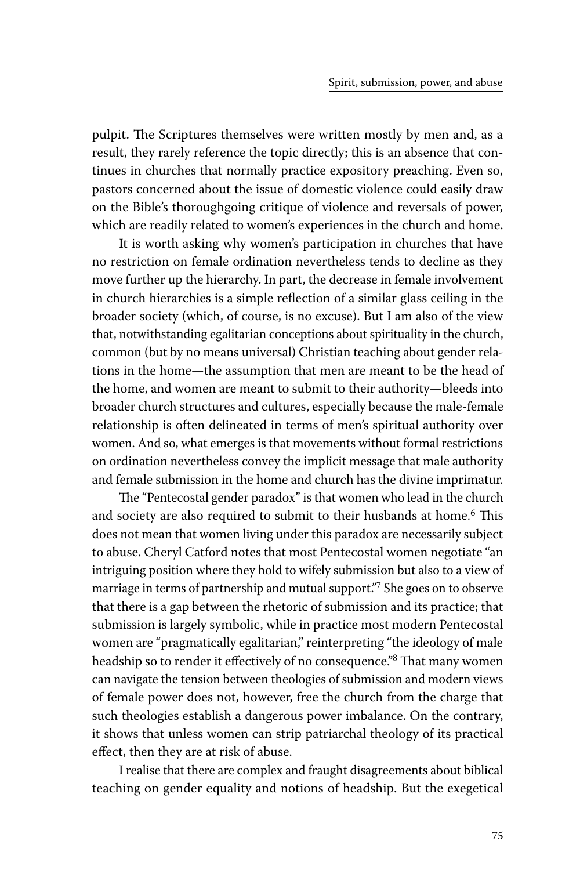pulpit. The Scriptures themselves were written mostly by men and, as a result, they rarely reference the topic directly; this is an absence that continues in churches that normally practice expository preaching. Even so, pastors concerned about the issue of domestic violence could easily draw on the Bible's thoroughgoing critique of violence and reversals of power, which are readily related to women's experiences in the church and home.

It is worth asking why women's participation in churches that have no restriction on female ordination nevertheless tends to decline as they move further up the hierarchy. In part, the decrease in female involvement in church hierarchies is a simple reflection of a similar glass ceiling in the broader society (which, of course, is no excuse). But I am also of the view that, notwithstanding egalitarian conceptions about spirituality in the church, common (but by no means universal) Christian teaching about gender relations in the home—the assumption that men are meant to be the head of the home, and women are meant to submit to their authority—bleeds into broader church structures and cultures, especially because the male-female relationship is often delineated in terms of men's spiritual authority over women. And so, what emerges is that movements without formal restrictions on ordination nevertheless convey the implicit message that male authority and female submission in the home and church has the divine imprimatur.

The "Pentecostal gender paradox" is that women who lead in the church and society are also required to submit to their husbands at home.<sup>6</sup> This does not mean that women living under this paradox are necessarily subject to abuse. Cheryl Catford notes that most Pentecostal women negotiate "an intriguing position where they hold to wifely submission but also to a view of marriage in terms of partnership and mutual support."<sup>7</sup> She goes on to observe that there is a gap between the rhetoric of submission and its practice; that submission is largely symbolic, while in practice most modern Pentecostal women are "pragmatically egalitarian," reinterpreting "the ideology of male headship so to render it effectively of no consequence."8 That many women can navigate the tension between theologies of submission and modern views of female power does not, however, free the church from the charge that such theologies establish a dangerous power imbalance. On the contrary, it shows that unless women can strip patriarchal theology of its practical effect, then they are at risk of abuse.

I realise that there are complex and fraught disagreements about biblical teaching on gender equality and notions of headship. But the exegetical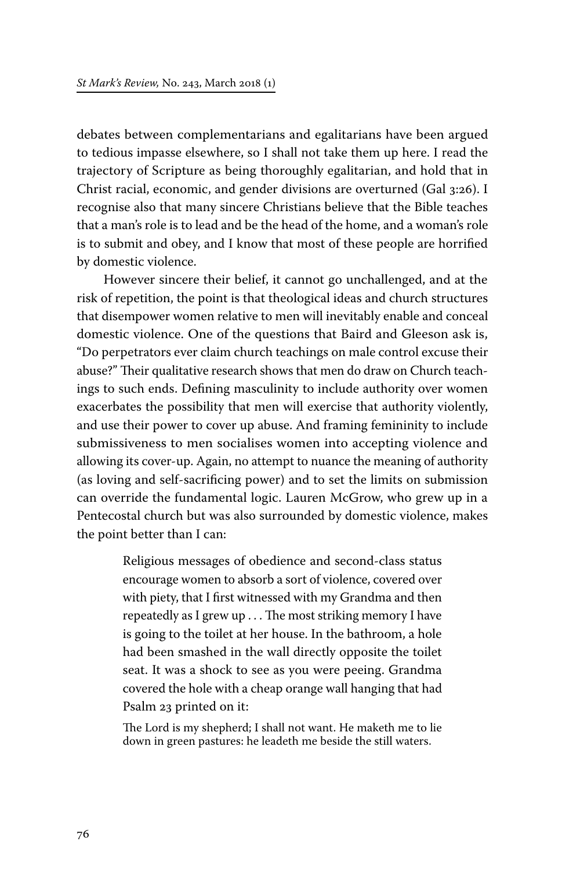debates between complementarians and egalitarians have been argued to tedious impasse elsewhere, so I shall not take them up here. I read the trajectory of Scripture as being thoroughly egalitarian, and hold that in Christ racial, economic, and gender divisions are overturned (Gal 3:26). I recognise also that many sincere Christians believe that the Bible teaches that a man's role is to lead and be the head of the home, and a woman's role is to submit and obey, and I know that most of these people are horrified by domestic violence.

However sincere their belief, it cannot go unchallenged, and at the risk of repetition, the point is that theological ideas and church structures that disempower women relative to men will inevitably enable and conceal domestic violence. One of the questions that Baird and Gleeson ask is, "Do perpetrators ever claim church teachings on male control excuse their abuse?" Their qualitative research shows that men do draw on Church teachings to such ends. Defining masculinity to include authority over women exacerbates the possibility that men will exercise that authority violently, and use their power to cover up abuse. And framing femininity to include submissiveness to men socialises women into accepting violence and allowing its cover-up. Again, no attempt to nuance the meaning of authority (as loving and self-sacrificing power) and to set the limits on submission can override the fundamental logic. Lauren McGrow, who grew up in a Pentecostal church but was also surrounded by domestic violence, makes the point better than I can:

> Religious messages of obedience and second-class status encourage women to absorb a sort of violence, covered over with piety, that I first witnessed with my Grandma and then repeatedly as I grew up . . . The most striking memory I have is going to the toilet at her house. In the bathroom, a hole had been smashed in the wall directly opposite the toilet seat. It was a shock to see as you were peeing. Grandma covered the hole with a cheap orange wall hanging that had Psalm 23 printed on it:

> The Lord is my shepherd; I shall not want. He maketh me to lie down in green pastures: he leadeth me beside the still waters.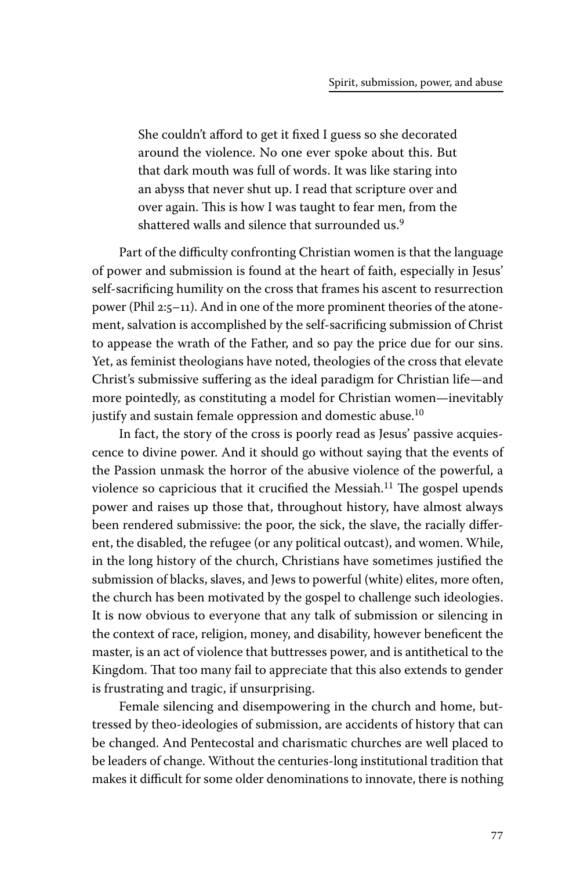She couldn't afford to get it fixed I guess so she decorated around the violence. No one ever spoke about this. But that dark mouth was full of words. It was like staring into an abyss that never shut up. I read that scripture over and over again. This is how I was taught to fear men, from the shattered walls and silence that surrounded us.<sup>9</sup>

Part of the difficulty confronting Christian women is that the language of power and submission is found at the heart of faith, especially in Jesus' self-sacrificing humility on the cross that frames his ascent to resurrection power (Phil 2:5–11). And in one of the more prominent theories of the atonement, salvation is accomplished by the self-sacrificing submission of Christ to appease the wrath of the Father, and so pay the price due for our sins. Yet, as feminist theologians have noted, theologies of the cross that elevate Christ's submissive suffering as the ideal paradigm for Christian life—and more pointedly, as constituting a model for Christian women—inevitably justify and sustain female oppression and domestic abuse.<sup>10</sup>

In fact, the story of the cross is poorly read as Jesus' passive acquiescence to divine power. And it should go without saying that the events of the Passion unmask the horror of the abusive violence of the powerful, a violence so capricious that it crucified the Messiah.<sup>11</sup> The gospel upends power and raises up those that, throughout history, have almost always been rendered submissive: the poor, the sick, the slave, the racially different, the disabled, the refugee (or any political outcast), and women. While, in the long history of the church, Christians have sometimes justified the submission of blacks, slaves, and Jews to powerful (white) elites, more often, the church has been motivated by the gospel to challenge such ideologies. It is now obvious to everyone that any talk of submission or silencing in the context of race, religion, money, and disability, however beneficent the master, is an act of violence that buttresses power, and is antithetical to the Kingdom. That too many fail to appreciate that this also extends to gender is frustrating and tragic, if unsurprising.

Female silencing and disempowering in the church and home, buttressed by theo-ideologies of submission, are accidents of history that can be changed. And Pentecostal and charismatic churches are well placed to be leaders of change. Without the centuries-long institutional tradition that makes it difficult for some older denominations to innovate, there is nothing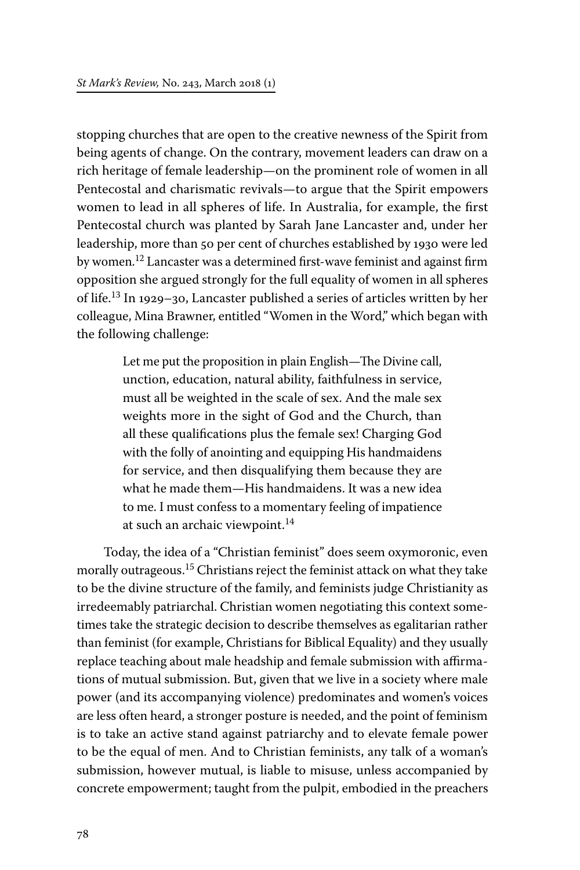stopping churches that are open to the creative newness of the Spirit from being agents of change. On the contrary, movement leaders can draw on a rich heritage of female leadership—on the prominent role of women in all Pentecostal and charismatic revivals—to argue that the Spirit empowers women to lead in all spheres of life. In Australia, for example, the first Pentecostal church was planted by Sarah Jane Lancaster and, under her leadership, more than 50 per cent of churches established by 1930 were led by women.<sup>12</sup> Lancaster was a determined first-wave feminist and against firm opposition she argued strongly for the full equality of women in all spheres of life.13 In 1929–30, Lancaster published a series of articles written by her colleague, Mina Brawner, entitled "Women in the Word," which began with the following challenge:

> Let me put the proposition in plain English—The Divine call, unction, education, natural ability, faithfulness in service, must all be weighted in the scale of sex. And the male sex weights more in the sight of God and the Church, than all these qualifications plus the female sex! Charging God with the folly of anointing and equipping His handmaidens for service, and then disqualifying them because they are what he made them—His handmaidens. It was a new idea to me. I must confess to a momentary feeling of impatience at such an archaic viewpoint.<sup>14</sup>

Today, the idea of a "Christian feminist" does seem oxymoronic, even morally outrageous.<sup>15</sup> Christians reject the feminist attack on what they take to be the divine structure of the family, and feminists judge Christianity as irredeemably patriarchal. Christian women negotiating this context sometimes take the strategic decision to describe themselves as egalitarian rather than feminist (for example, Christians for Biblical Equality) and they usually replace teaching about male headship and female submission with affirmations of mutual submission. But, given that we live in a society where male power (and its accompanying violence) predominates and women's voices are less often heard, a stronger posture is needed, and the point of feminism is to take an active stand against patriarchy and to elevate female power to be the equal of men. And to Christian feminists, any talk of a woman's submission, however mutual, is liable to misuse, unless accompanied by concrete empowerment; taught from the pulpit, embodied in the preachers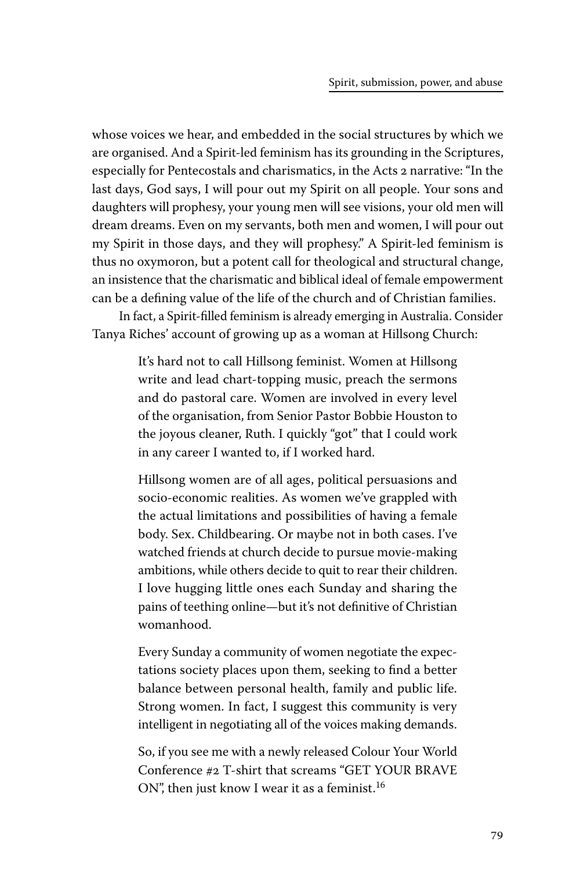whose voices we hear, and embedded in the social structures by which we are organised. And a Spirit-led feminism has its grounding in the Scriptures, especially for Pentecostals and charismatics, in the Acts 2 narrative: "In the last days, God says, I will pour out my Spirit on all people. Your sons and daughters will prophesy, your young men will see visions, your old men will dream dreams. Even on my servants, both men and women, I will pour out my Spirit in those days, and they will prophesy." A Spirit-led feminism is thus no oxymoron, but a potent call for theological and structural change, an insistence that the charismatic and biblical ideal of female empowerment can be a defining value of the life of the church and of Christian families.

In fact, a Spirit-filled feminism is already emerging in Australia. Consider Tanya Riches' account of growing up as a woman at Hillsong Church:

> It's hard not to call Hillsong feminist. Women at Hillsong write and lead chart-topping music, preach the sermons and do pastoral care. Women are involved in every level of the organisation, from Senior Pastor Bobbie Houston to the joyous cleaner, Ruth. I quickly "got" that I could work in any career I wanted to, if I worked hard.

> Hillsong women are of all ages, political persuasions and socio-economic realities. As women we've grappled with the actual limitations and possibilities of having a female body. Sex. Childbearing. Or maybe not in both cases. I've watched friends at church decide to pursue movie-making ambitions, while others decide to quit to rear their children. I love hugging little ones each Sunday and sharing the pains of teething online—but it's not definitive of Christian womanhood.

> Every Sunday a community of women negotiate the expectations society places upon them, seeking to find a better balance between personal health, family and public life. Strong women. In fact, I suggest this community is very intelligent in negotiating all of the voices making demands.

> So, if you see me with a newly released Colour Your World Conference #2 T-shirt that screams "GET YOUR BRAVE ON", then just know I wear it as a feminist.<sup>16</sup>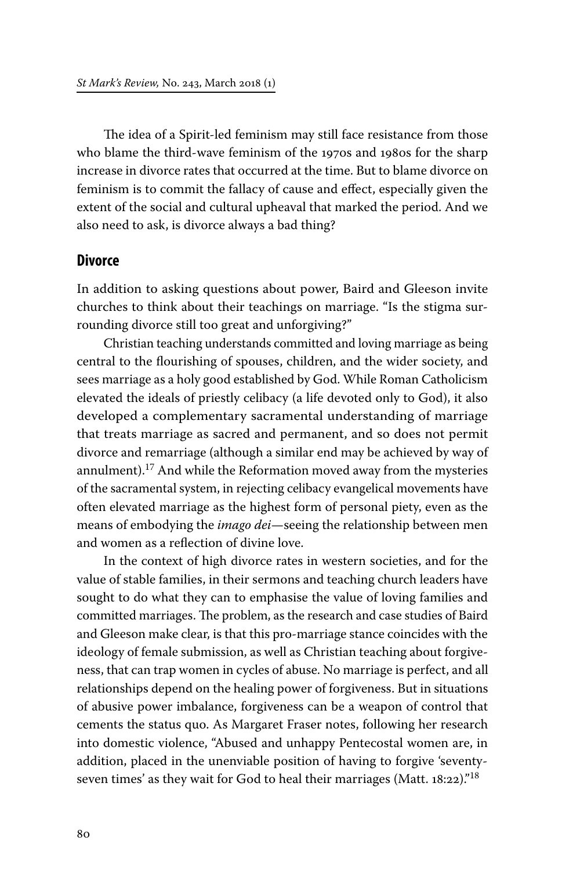The idea of a Spirit-led feminism may still face resistance from those who blame the third-wave feminism of the 1970s and 1980s for the sharp increase in divorce rates that occurred at the time. But to blame divorce on feminism is to commit the fallacy of cause and effect, especially given the extent of the social and cultural upheaval that marked the period. And we also need to ask, is divorce always a bad thing?

#### **Divorce**

In addition to asking questions about power, Baird and Gleeson invite churches to think about their teachings on marriage. "Is the stigma surrounding divorce still too great and unforgiving?"

Christian teaching understands committed and loving marriage as being central to the flourishing of spouses, children, and the wider society, and sees marriage as a holy good established by God. While Roman Catholicism elevated the ideals of priestly celibacy (a life devoted only to God), it also developed a complementary sacramental understanding of marriage that treats marriage as sacred and permanent, and so does not permit divorce and remarriage (although a similar end may be achieved by way of annulment).<sup>17</sup> And while the Reformation moved away from the mysteries of the sacramental system, in rejecting celibacy evangelical movements have often elevated marriage as the highest form of personal piety, even as the means of embodying the *imago dei*—seeing the relationship between men and women as a reflection of divine love.

In the context of high divorce rates in western societies, and for the value of stable families, in their sermons and teaching church leaders have sought to do what they can to emphasise the value of loving families and committed marriages. The problem, as the research and case studies of Baird and Gleeson make clear, is that this pro-marriage stance coincides with the ideology of female submission, as well as Christian teaching about forgiveness, that can trap women in cycles of abuse. No marriage is perfect, and all relationships depend on the healing power of forgiveness. But in situations of abusive power imbalance, forgiveness can be a weapon of control that cements the status quo. As Margaret Fraser notes, following her research into domestic violence, "Abused and unhappy Pentecostal women are, in addition, placed in the unenviable position of having to forgive 'seventyseven times' as they wait for God to heal their marriages (Matt.  $18:22$ )."<sup>18</sup>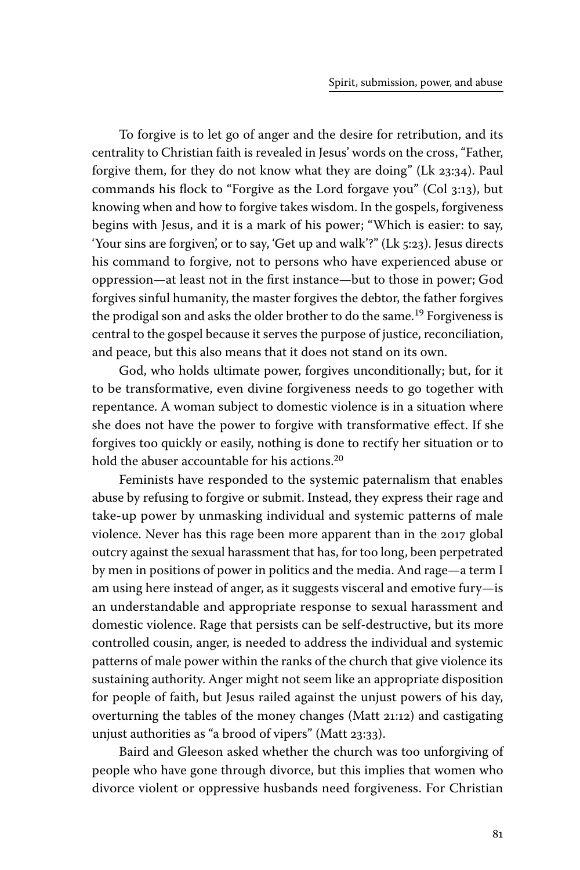To forgive is to let go of anger and the desire for retribution, and its centrality to Christian faith is revealed in Jesus' words on the cross, "Father, forgive them, for they do not know what they are doing" (Lk 23:34). Paul commands his flock to "Forgive as the Lord forgave you" (Col 3:13), but knowing when and how to forgive takes wisdom. In the gospels, forgiveness begins with Jesus, and it is a mark of his power; "Which is easier: to say, 'Your sins are forgiven', or to say, 'Get up and walk'?" (Lk 5:23). Jesus directs his command to forgive, not to persons who have experienced abuse or oppression—at least not in the first instance—but to those in power; God forgives sinful humanity, the master forgives the debtor, the father forgives the prodigal son and asks the older brother to do the same.<sup>19</sup> Forgiveness is central to the gospel because it serves the purpose of justice, reconciliation, and peace, but this also means that it does not stand on its own.

God, who holds ultimate power, forgives unconditionally; but, for it to be transformative, even divine forgiveness needs to go together with repentance. A woman subject to domestic violence is in a situation where she does not have the power to forgive with transformative effect. If she forgives too quickly or easily, nothing is done to rectify her situation or to hold the abuser accountable for his actions.<sup>20</sup>

Feminists have responded to the systemic paternalism that enables abuse by refusing to forgive or submit. Instead, they express their rage and take-up power by unmasking individual and systemic patterns of male violence. Never has this rage been more apparent than in the 2017 global outcry against the sexual harassment that has, for too long, been perpetrated by men in positions of power in politics and the media. And rage—a term I am using here instead of anger, as it suggests visceral and emotive fury—is an understandable and appropriate response to sexual harassment and domestic violence. Rage that persists can be self-destructive, but its more controlled cousin, anger, is needed to address the individual and systemic patterns of male power within the ranks of the church that give violence its sustaining authority. Anger might not seem like an appropriate disposition for people of faith, but Jesus railed against the unjust powers of his day, overturning the tables of the money changes (Matt 21:12) and castigating unjust authorities as "a brood of vipers" (Matt 23:33).

Baird and Gleeson asked whether the church was too unforgiving of people who have gone through divorce, but this implies that women who divorce violent or oppressive husbands need forgiveness. For Christian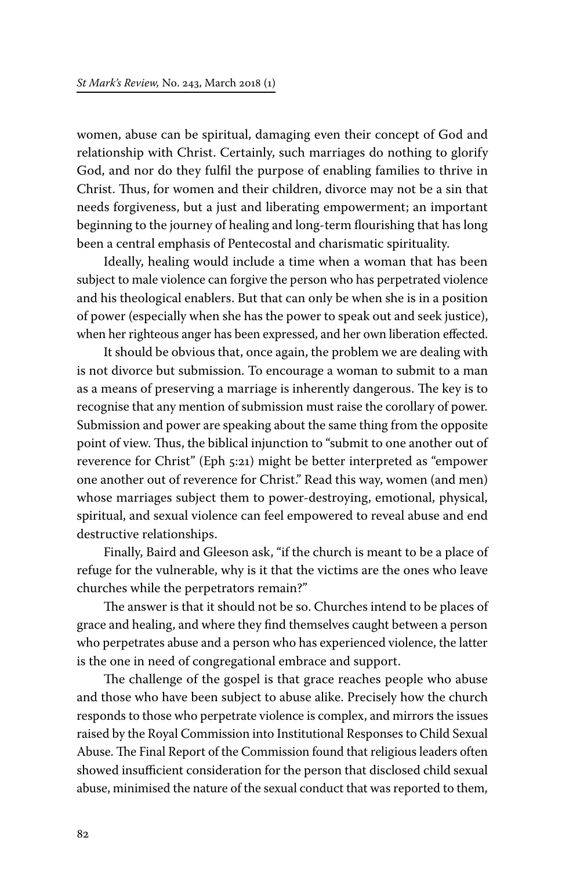women, abuse can be spiritual, damaging even their concept of God and relationship with Christ. Certainly, such marriages do nothing to glorify God, and nor do they fulfil the purpose of enabling families to thrive in Christ. Thus, for women and their children, divorce may not be a sin that needs forgiveness, but a just and liberating empowerment; an important beginning to the journey of healing and long-term flourishing that has long been a central emphasis of Pentecostal and charismatic spirituality.

Ideally, healing would include a time when a woman that has been subject to male violence can forgive the person who has perpetrated violence and his theological enablers. But that can only be when she is in a position of power (especially when she has the power to speak out and seek justice), when her righteous anger has been expressed, and her own liberation effected.

It should be obvious that, once again, the problem we are dealing with is not divorce but submission. To encourage a woman to submit to a man as a means of preserving a marriage is inherently dangerous. The key is to recognise that any mention of submission must raise the corollary of power. Submission and power are speaking about the same thing from the opposite point of view. Thus, the biblical injunction to "submit to one another out of reverence for Christ" (Eph 5:21) might be better interpreted as "empower one another out of reverence for Christ." Read this way, women (and men) whose marriages subject them to power-destroying, emotional, physical, spiritual, and sexual violence can feel empowered to reveal abuse and end destructive relationships.

Finally, Baird and Gleeson ask, "if the church is meant to be a place of refuge for the vulnerable, why is it that the victims are the ones who leave churches while the perpetrators remain?"

The answer is that it should not be so. Churches intend to be places of grace and healing, and where they find themselves caught between a person who perpetrates abuse and a person who has experienced violence, the latter is the one in need of congregational embrace and support.

The challenge of the gospel is that grace reaches people who abuse and those who have been subject to abuse alike. Precisely how the church responds to those who perpetrate violence is complex, and mirrors the issues raised by the Royal Commission into Institutional Responses to Child Sexual Abuse. The Final Report of the Commission found that religious leaders often showed insufficient consideration for the person that disclosed child sexual abuse, minimised the nature of the sexual conduct that was reported to them,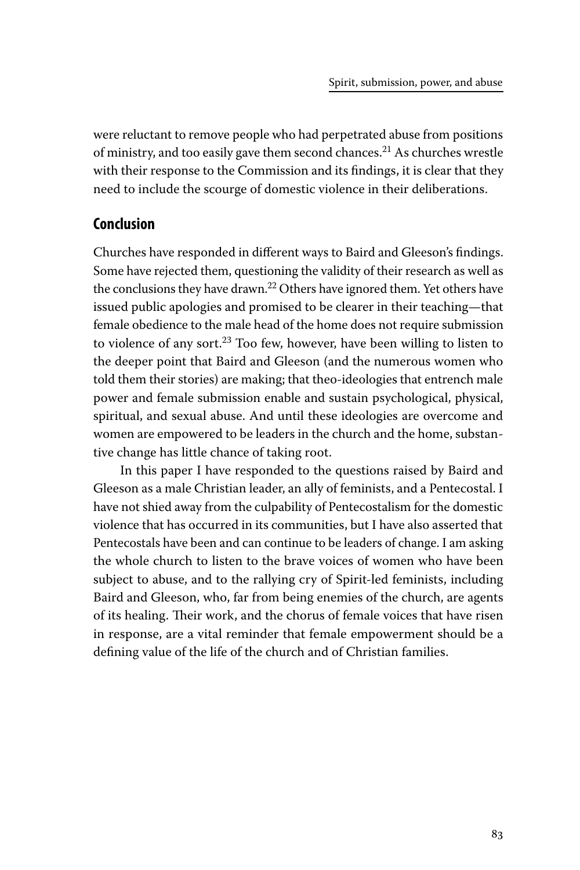were reluctant to remove people who had perpetrated abuse from positions of ministry, and too easily gave them second chances.21 As churches wrestle with their response to the Commission and its findings, it is clear that they need to include the scourge of domestic violence in their deliberations.

### **Conclusion**

Churches have responded in different ways to Baird and Gleeson's findings. Some have rejected them, questioning the validity of their research as well as the conclusions they have drawn.<sup>22</sup> Others have ignored them. Yet others have issued public apologies and promised to be clearer in their teaching—that female obedience to the male head of the home does not require submission to violence of any sort.<sup>23</sup> Too few, however, have been willing to listen to the deeper point that Baird and Gleeson (and the numerous women who told them their stories) are making; that theo-ideologies that entrench male power and female submission enable and sustain psychological, physical, spiritual, and sexual abuse. And until these ideologies are overcome and women are empowered to be leaders in the church and the home, substantive change has little chance of taking root.

In this paper I have responded to the questions raised by Baird and Gleeson as a male Christian leader, an ally of feminists, and a Pentecostal. I have not shied away from the culpability of Pentecostalism for the domestic violence that has occurred in its communities, but I have also asserted that Pentecostals have been and can continue to be leaders of change. I am asking the whole church to listen to the brave voices of women who have been subject to abuse, and to the rallying cry of Spirit-led feminists, including Baird and Gleeson, who, far from being enemies of the church, are agents of its healing. Their work, and the chorus of female voices that have risen in response, are a vital reminder that female empowerment should be a defining value of the life of the church and of Christian families.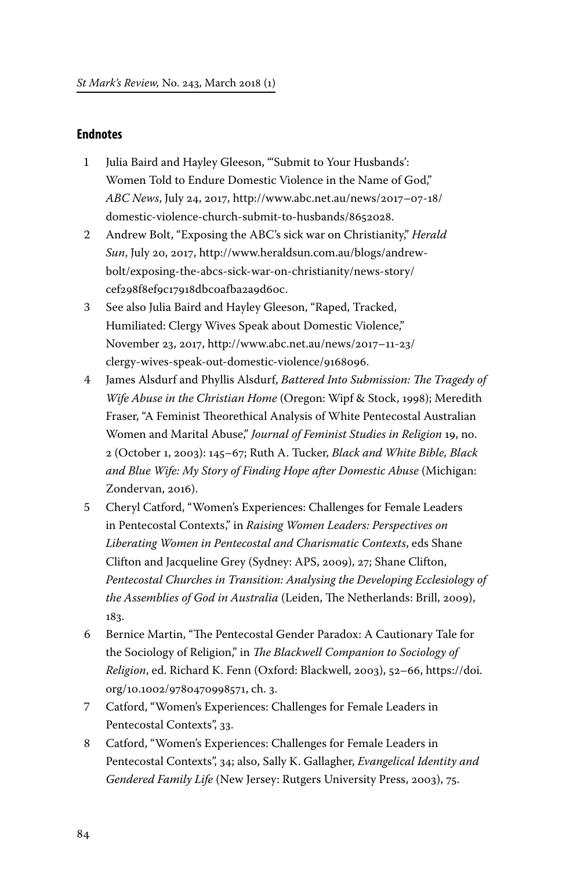#### **Endnotes**

- 1 Julia Baird and Hayley Gleeson, "'Submit to Your Husbands': Women Told to Endure Domestic Violence in the Name of God," *ABC News*, July 24, 2017, http://www.abc.net.au/news/2017–07-18/ domestic-violence-church-submit-to-husbands/8652028.
- 2 Andrew Bolt, "Exposing the ABC's sick war on Christianity," *Herald Sun*, July 20, 2017, http://www.heraldsun.com.au/blogs/andrewbolt/exposing-the-abcs-sick-war-on-christianity/news-story/ cef298f8ef9c17918dbc0afba2a9d60c.
- 3 See also Julia Baird and Hayley Gleeson, "Raped, Tracked, Humiliated: Clergy Wives Speak about Domestic Violence," November 23, 2017, http://www.abc.net.au/news/2017–11-23/ clergy-wives-speak-out-domestic-violence/9168096.
- 4 James Alsdurf and Phyllis Alsdurf, *Battered Into Submission: The Tragedy of Wife Abuse in the Christian Home* (Oregon: Wipf & Stock, 1998); Meredith Fraser, "A Feminist Theorethical Analysis of White Pentecostal Australian Women and Marital Abuse," *Journal of Feminist Studies in Religion* 19, no. 2 (October 1, 2003): 145–67; Ruth A. Tucker, *Black and White Bible, Black and Blue Wife: My Story of Finding Hope after Domestic Abuse* (Michigan: Zondervan, 2016).
- 5 Cheryl Catford, "Women's Experiences: Challenges for Female Leaders in Pentecostal Contexts," in *Raising Women Leaders: Perspectives on Liberating Women in Pentecostal and Charismatic Contexts*, eds Shane Clifton and Jacqueline Grey (Sydney: APS, 2009), 27; Shane Clifton, *Pentecostal Churches in Transition: Analysing the Developing Ecclesiology of the Assemblies of God in Australia* (Leiden, The Netherlands: Brill, 2009), 183.
- 6 Bernice Martin, "The Pentecostal Gender Paradox: A Cautionary Tale for the Sociology of Religion," in *The Blackwell Companion to Sociology of Religion*, ed. Richard K. Fenn (Oxford: Blackwell, 2003), 52–66, https://doi. org/10.1002/9780470998571, ch. 3.
- 7 Catford, "Women's Experiences: Challenges for Female Leaders in Pentecostal Contexts", 33.
- 8 Catford, "Women's Experiences: Challenges for Female Leaders in Pentecostal Contexts", 34; also, Sally K. Gallagher, *Evangelical Identity and Gendered Family Life* (New Jersey: Rutgers University Press, 2003), 75.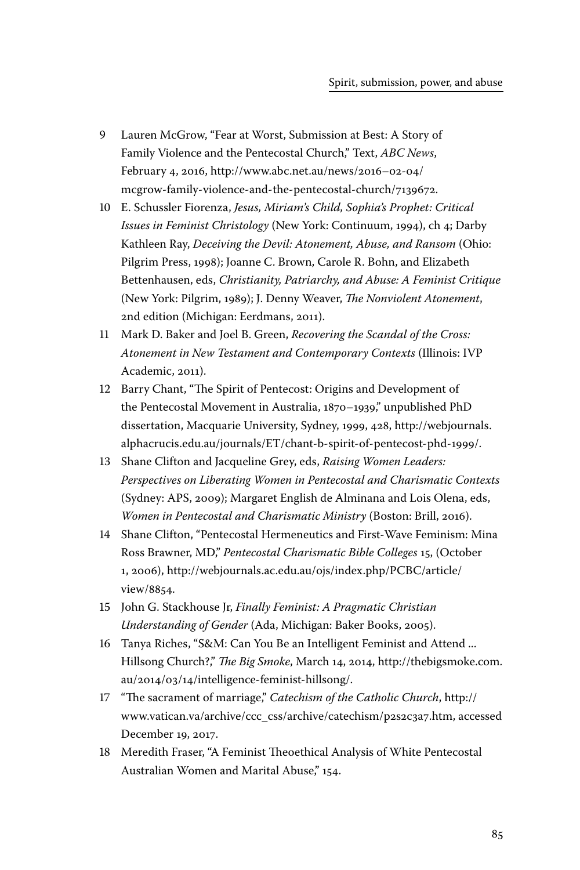- 9 Lauren McGrow, "Fear at Worst, Submission at Best: A Story of Family Violence and the Pentecostal Church," Text, *ABC News*, February 4, 2016, http://www.abc.net.au/news/2016–02-04/ mcgrow-family-violence-and-the-pentecostal-church/7139672.
- 10 E. Schussler Fiorenza, *Jesus, Miriam's Child, Sophia's Prophet: Critical Issues in Feminist Christology* (New York: Continuum, 1994), ch 4; Darby Kathleen Ray, *Deceiving the Devil: Atonement, Abuse, and Ransom* (Ohio: Pilgrim Press, 1998); Joanne C. Brown, Carole R. Bohn, and Elizabeth Bettenhausen, eds, *Christianity, Patriarchy, and Abuse: A Feminist Critique* (New York: Pilgrim, 1989); J. Denny Weaver, *The Nonviolent Atonement*, 2nd edition (Michigan: Eerdmans, 2011).
- 11 Mark D. Baker and Joel B. Green, *Recovering the Scandal of the Cross: Atonement in New Testament and Contemporary Contexts* (Illinois: IVP Academic, 2011).
- 12 Barry Chant, "The Spirit of Pentecost: Origins and Development of the Pentecostal Movement in Australia, 1870–1939," unpublished PhD dissertation, Macquarie University, Sydney, 1999, 428, http://webjournals. alphacrucis.edu.au/journals/ET/chant-b-spirit-of-pentecost-phd-1999/.
- 13 Shane Clifton and Jacqueline Grey, eds, *Raising Women Leaders: Perspectives on Liberating Women in Pentecostal and Charismatic Contexts* (Sydney: APS, 2009); Margaret English de Alminana and Lois Olena, eds, *Women in Pentecostal and Charismatic Ministry* (Boston: Brill, 2016).
- 14 Shane Clifton, "Pentecostal Hermeneutics and First-Wave Feminism: Mina Ross Brawner, MD," *Pentecostal Charismatic Bible Colleges* 15, (October 1, 2006), http://webjournals.ac.edu.au/ojs/index.php/PCBC/article/ view/8854.
- 15 John G. Stackhouse Jr, *Finally Feminist: A Pragmatic Christian Understanding of Gender* (Ada, Michigan: Baker Books, 2005).
- 16 Tanya Riches, "S&M: Can You Be an Intelligent Feminist and Attend ... Hillsong Church?," *The Big Smoke*, March 14, 2014, http://thebigsmoke.com. au/2014/03/14/intelligence-feminist-hillsong/.
- 17 "The sacrament of marriage," *Catechism of the Catholic Church*, http:// www.vatican.va/archive/ccc\_css/archive/catechism/p2s2c3a7.htm, accessed December 19, 2017.
- 18 Meredith Fraser, "A Feminist Theoethical Analysis of White Pentecostal Australian Women and Marital Abuse," 154.